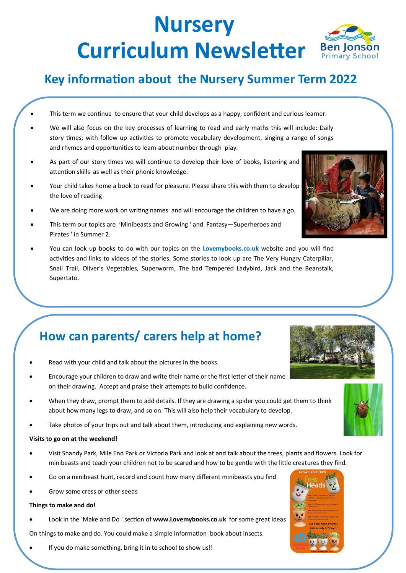# **Nursery Curriculum Newsletter Ben Jonson**

### **Key information about the Nursery Summer Term 2022**

- This term we continue to ensure that your child develops as a happy, confident and curious learner.
- We will also focus on the key processes of learning to read and early maths this will include: Daily story times; with follow up activities to promote vocabulary development, singing a range of songs and rhymes and opportunities to learn about number through play.
- As part of our story times we will continue to develop their love of books, listening and attention skills as well as their phonic knowledge.
- Your child takes home a book to read for pleasure. Please share this with them to develop the love of reading
- We are doing more work on writing names and will encourage the children to have a go.
- This term our topics are 'Minibeasts and Growing ' and Fantasy—Superheroes and Pirates ' in Summer 2.
- You can look up books to do with our topics on the **Lovemybooks.co.uk** website and you will find activities and links to videos of the stories. Some stories to look up are The Very Hungry Caterpillar, Snail Trail, Oliver's Vegetables, Superworm, The bad Tempered Ladybird, Jack and the Beanstalk, Supertato.

### **How can parents/ carers help at home?**

- Read with your child and talk about the pictures in the books.
- Encourage your children to draw and write their name or the first letter of their name on their drawing. Accept and praise their attempts to build confidence.
- When they draw, prompt them to add details. If they are drawing a spider you could get them to think about how many legs to draw, and so on. This will also help their vocabulary to develop.
- Take photos of your trips out and talk about them, introducing and explaining new words.

#### **Visits to go on at the weekend!**

- Visit Shandy Park, Mile End Park or Victoria Park and look at and talk about the trees, plants and flowers. Look for minibeasts and teach your children not to be scared and how to be gentle with the little creatures they find.
- Go on a minibeast hunt, record and count how many different minibeasts you find
- Grow some cress or other seeds

#### **Things to make and do!**

• Look in the 'Make and Do ' section of **www.Lovemybooks.co.uk** for some great ideas

On things to make and do. You could make a simple information book about insects.

• If you do make something, bring it in to school to show us!!